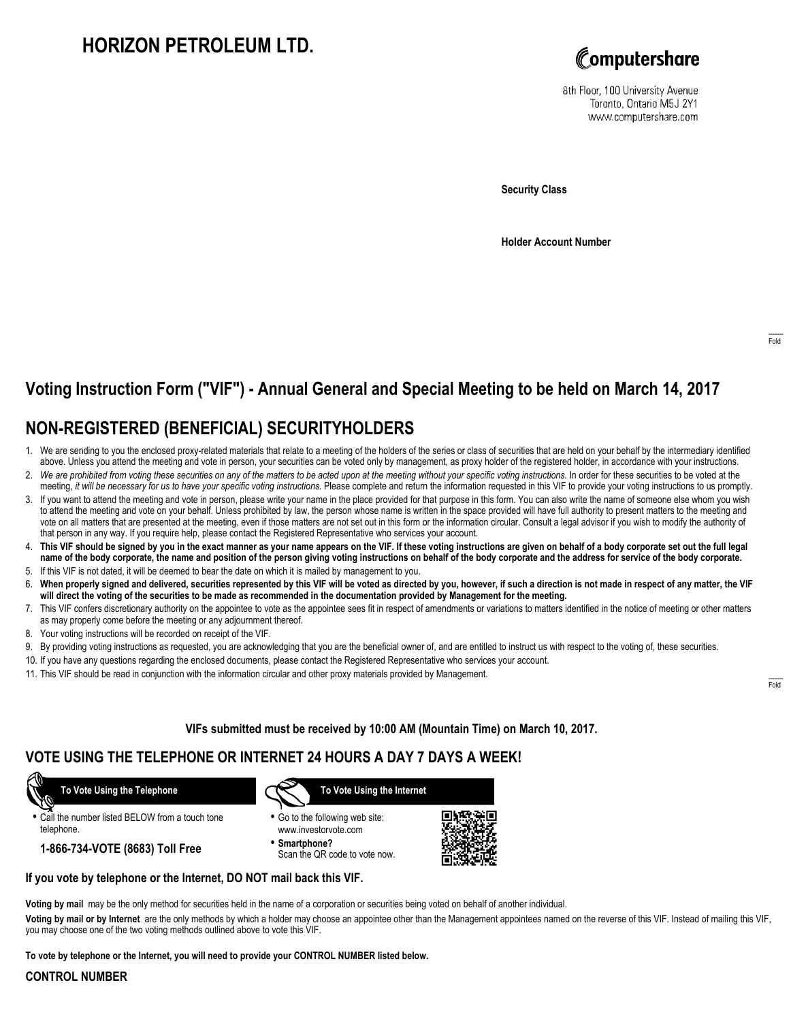# **HORIZON PETROLEUM LTD.**



8th Floor, 100 University Avenue Toronto, Ontario M5J 2Y1 www.computershare.com

**Security Class**

**Holder Account Number**

## **Voting Instruction Form ("VIF") - Annual General and Special Meeting to be held on March 14, 2017**

## **NON-REGISTERED (BENEFICIAL) SECURITYHOLDERS**

- 1. We are sending to you the enclosed proxy-related materials that relate to a meeting of the holders of the series or class of securities that are held on your behalf by the intermediary identified above. Unless you attend the meeting and vote in person, your securities can be voted only by management, as proxy holder of the registered holder, in accordance with your instructions.
- 2. *We are prohibited from voting these securities on any of the matters to be acted upon at the meeting without your specific voting instructions.* In order for these securities to be voted at the meeting, *it will be necessary for us to have your specific voting instructions.* Please complete and return the information requested in this VIF to provide your voting instructions to us promptly.
- 3. If you want to attend the meeting and vote in person, please write your name in the place provided for that purpose in this form. You can also write the name of someone else whom you wish to attend the meeting and vote on your behalf. Unless prohibited by law, the person whose name is written in the space provided will have full authority to present matters to the meeting and vote on all matters that are presented at the meeting, even if those matters are not set out in this form or the information circular. Consult a legal advisor if you wish to modify the authority of that person in any way. If you require help, please contact the Registered Representative who services your account.
- 4. **This VIF should be signed by you in the exact manner as your name appears on the VIF. If these voting instructions are given on behalf of a body corporate set out the full legal name of the body corporate, the name and position of the person giving voting instructions on behalf of the body corporate and the address for service of the body corporate.**
- 5. If this VIF is not dated, it will be deemed to bear the date on which it is mailed by management to you.
- 6. **When properly signed and delivered, securities represented by this VIF will be voted as directed by you, however, if such a direction is not made in respect of any matter, the VIF will direct the voting of the securities to be made as recommended in the documentation provided by Management for the meeting.**
- 7. This VIF confers discretionary authority on the appointee to vote as the appointee sees fit in respect of amendments or variations to matters identified in the notice of meeting or other matters as may properly come before the meeting or any adjournment thereof.
- 8. Your voting instructions will be recorded on receipt of the VIF.
- 9. By providing voting instructions as requested, you are acknowledging that you are the beneficial owner of, and are entitled to instruct us with respect to the voting of, these securities.
- 10. If you have any questions regarding the enclosed documents, please contact the Registered Representative who services your account.
- 11. This VIF should be read in conjunction with the information circular and other proxy materials provided by Management.

**VIFs submitted must be received by 10:00 AM (Mountain Time) on March 10, 2017.**

### **VOTE USING THE TELEPHONE OR INTERNET 24 HOURS A DAY 7 DAYS A WEEK!**

 **To Vote Using the Telephone**

**•** Call the number listed BELOW from a touch tone

telephone.

**1-866-734-VOTE (8683) Toll Free**



- **•** Go to the following web site: www.investorvote.com
- **• Smartphone?** Scan the QR code to vote now.



### **If you vote by telephone or the Internet, DO NOT mail back this VIF.**

**Voting by mail** may be the only method for securities held in the name of a corporation or securities being voted on behalf of another individual.

**Voting by mail or by Internet** are the only methods by which a holder may choose an appointee other than the Management appointees named on the reverse of this VIF. Instead of mailing this VIF, you may choose one of the two voting methods outlined above to vote this VIF.

**To vote by telephone or the Internet, you will need to provide your CONTROL NUMBER listed below.**

#### **CONTROL NUMBER**